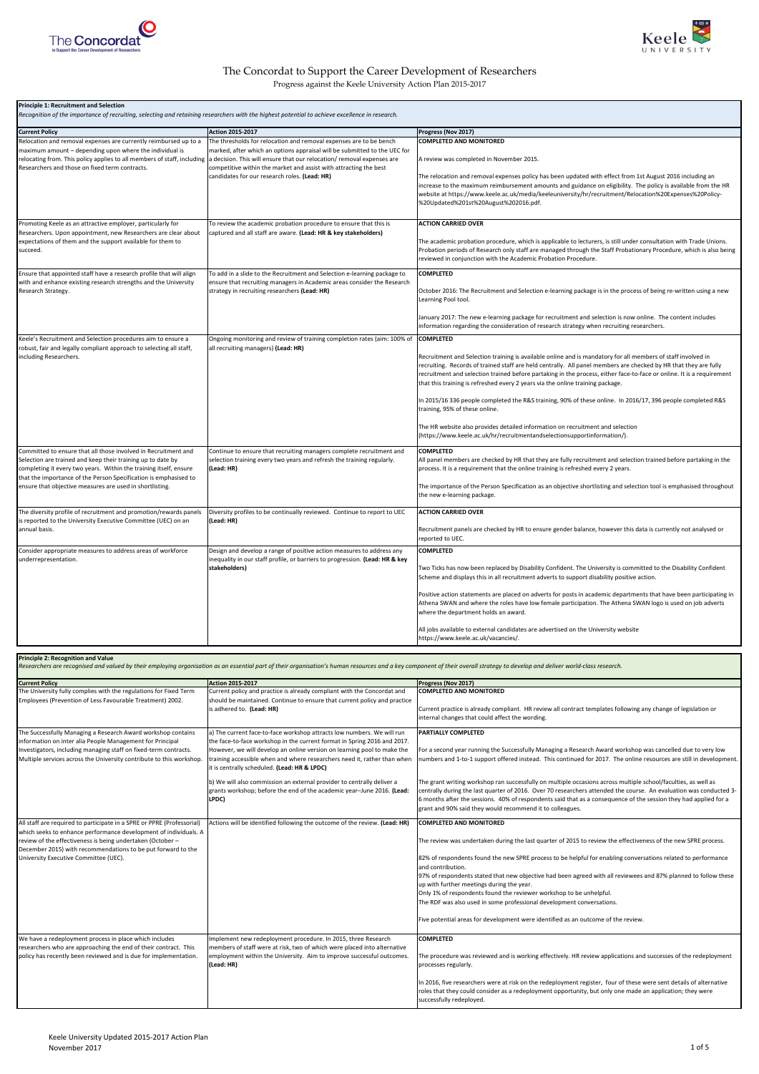| <b>Principle 1: Recruitment and Selection</b><br>Recognition of the importance of recruiting, selecting and retaining researchers with the highest potential to achieve excellence in research.                                                                                                                                                                                                         |                                                                                                                                                                                                                                                                                                                                                |                                                                                                                                                                                                                                                                                                                                                                                                                                                                                                                                                                                                                                                                                                                                                                                |  |
|---------------------------------------------------------------------------------------------------------------------------------------------------------------------------------------------------------------------------------------------------------------------------------------------------------------------------------------------------------------------------------------------------------|------------------------------------------------------------------------------------------------------------------------------------------------------------------------------------------------------------------------------------------------------------------------------------------------------------------------------------------------|--------------------------------------------------------------------------------------------------------------------------------------------------------------------------------------------------------------------------------------------------------------------------------------------------------------------------------------------------------------------------------------------------------------------------------------------------------------------------------------------------------------------------------------------------------------------------------------------------------------------------------------------------------------------------------------------------------------------------------------------------------------------------------|--|
| <b>Current Policy</b>                                                                                                                                                                                                                                                                                                                                                                                   | Action 2015-2017                                                                                                                                                                                                                                                                                                                               | Progress (Nov 2017)                                                                                                                                                                                                                                                                                                                                                                                                                                                                                                                                                                                                                                                                                                                                                            |  |
| Relocation and removal expenses are currently reimbursed up to a<br>maximum amount - depending upon where the individual is<br>relocating from. This policy applies to all members of staff, including<br>Researchers and those on fixed term contracts.                                                                                                                                                | The thresholds for relocation and removal expenses are to be bench<br>marked, after which an options appraisal will be submitted to the UEC for<br>a decision. This will ensure that our relocation/removal expenses are<br>competitive within the market and assist with attracting the best<br>candidates for our research roles. (Lead: HR) | <b>COMPLETED AND MONITORED</b><br>A review was completed in November 2015.<br>The relocation and removal expenses policy has been updated with effect from 1st August 2016 including an<br>increase to the maximum reimbursement amounts and guidance on eligibility. The policy is available from the HR<br>website at https://www.keele.ac.uk/media/keeleuniversity/hr/recruitment/Relocation%20Expenses%20Policy-<br>%20Updated%201st%20August%202016.pdf.                                                                                                                                                                                                                                                                                                                  |  |
| Promoting Keele as an attractive employer, particularly for<br>Researchers. Upon appointment, new Researchers are clear about<br>expectations of them and the support available for them to<br>succeed.                                                                                                                                                                                                 | To review the academic probation procedure to ensure that this is<br>captured and all staff are aware. (Lead: HR & key stakeholders)                                                                                                                                                                                                           | <b>ACTION CARRIED OVER</b><br>The academic probation procedure, which is applicable to lecturers, is still under consultation with Trade Unions.<br>Probation periods of Research only staff are managed through the Staff Probationary Procedure, which is also being<br>reviewed in conjunction with the Academic Probation Procedure.                                                                                                                                                                                                                                                                                                                                                                                                                                       |  |
| Ensure that appointed staff have a research profile that will align<br>with and enhance existing research strengths and the University<br>Research Strategy.                                                                                                                                                                                                                                            | To add in a slide to the Recruitment and Selection e-learning package to<br>ensure that recruiting managers in Academic areas consider the Research<br>strategy in recruiting researchers (Lead: HR)                                                                                                                                           | <b>COMPLETED</b><br>October 2016: The Recruitment and Selection e-learning package is in the process of being re-written using a new<br>Learning Pool tool.<br>January 2017: The new e-learning package for recruitment and selection is now online. The content includes<br>information regarding the consideration of research strategy when recruiting researchers.                                                                                                                                                                                                                                                                                                                                                                                                         |  |
| Keele's Recruitment and Selection procedures aim to ensure a<br>robust, fair and legally compliant approach to selecting all staff,<br>including Researchers.                                                                                                                                                                                                                                           | Ongoing monitoring and review of training completion rates (aim: 100% of<br>all recruiting managers) (Lead: HR)                                                                                                                                                                                                                                | <b>COMPLETED</b><br>Recruitment and Selection training is available online and is mandatory for all members of staff involved in<br>recruiting. Records of trained staff are held centrally. All panel members are checked by HR that they are fully<br>recruitment and selection trained before partaking in the process, either face-to-face or online. It is a requirement<br>that this training is refreshed every 2 years via the online training package.<br>In 2015/16 336 people completed the R&S training, 90% of these online. In 2016/17, 396 people completed R&S<br>training, 95% of these online.<br>The HR website also provides detailed information on recruitment and selection<br>(https://www.keele.ac.uk/hr/recruitmentandselectionsupportinformation/). |  |
| Committed to ensure that all those involved in Recruitment and<br>Selection are trained and keep their training up to date by<br>completing it every two years. Within the training itself, ensure<br>that the importance of the Person Specification is emphasised to<br>ensure that objective measures are used in shortlisting.<br>The diversity profile of recruitment and promotion/rewards panels | Continue to ensure that recruiting managers complete recruitment and<br>selection training every two years and refresh the training regularly.<br>(Lead: HR)<br>Diversity profiles to be continually reviewed. Continue to report to UEC                                                                                                       | <b>COMPLETED</b><br>All panel members are checked by HR that they are fully recruitment and selection trained before partaking in the<br>process. It is a requirement that the online training is refreshed every 2 years.<br>The importance of the Person Specification as an objective shortlisting and selection tool is emphasised throughout<br>the new e-learning package.<br><b>ACTION CARRIED OVER</b>                                                                                                                                                                                                                                                                                                                                                                 |  |
| is reported to the University Executive Committee (UEC) on an<br>annual basis.                                                                                                                                                                                                                                                                                                                          | (Lead: HR)                                                                                                                                                                                                                                                                                                                                     | Recruitment panels are checked by HR to ensure gender balance, however this data is currently not analysed or<br>reported to UEC.                                                                                                                                                                                                                                                                                                                                                                                                                                                                                                                                                                                                                                              |  |
| Consider appropriate measures to address areas of workforce<br>underrepresentation.                                                                                                                                                                                                                                                                                                                     | Design and develop a range of positive action measures to address any<br>inequality in our staff profile, or barriers to progression. (Lead: HR & key<br>stakeholders)                                                                                                                                                                         | <b>COMPLETED</b><br>Two Ticks has now been replaced by Disability Confident. The University is committed to the Disability Confident<br>Scheme and displays this in all recruitment adverts to support disability positive action.<br>Positive action statements are placed on adverts for posts in academic departments that have been participating in<br>Athena SWAN and where the roles have low female participation. The Athena SWAN logo is used on job adverts<br>where the department holds an award.<br>All jobs available to external candidates are advertised on the University website<br>https://www.keele.ac.uk/vacancies/.                                                                                                                                    |  |

**Principle 2: Recognition and Value**

Researchers are recognised and valued by their employing organisation as an essential part of their organisation's human resources and a key component of their overall strategy to develop and deliver world-class research.

| <b>Current Policy</b>                                                | <b>Action 2015-2017</b>                                                   | Progress (Nov 2017)                                                                                                 |
|----------------------------------------------------------------------|---------------------------------------------------------------------------|---------------------------------------------------------------------------------------------------------------------|
| The University fully complies with the regulations for Fixed Term    | Current policy and practice is already compliant with the Concordat and   | <b>COMPLETED AND MONITORED</b>                                                                                      |
| Employees (Prevention of Less Favourable Treatment) 2002.            | should be maintained. Continue to ensure that current policy and practice |                                                                                                                     |
|                                                                      | is adhered to. (Lead: HR)                                                 | Current practice is already compliant. HR review all contract templates following any change of legislation or      |
|                                                                      |                                                                           | internal changes that could affect the wording.                                                                     |
|                                                                      |                                                                           |                                                                                                                     |
| The Successfully Managing a Research Award workshop contains         | a) The current face-to-face workshop attracts low numbers. We will run    | <b>PARTIALLY COMPLETED</b>                                                                                          |
| information on inter alia People Management for Principal            | the face-to-face workshop in the current format in Spring 2016 and 2017.  |                                                                                                                     |
| Investigators, including managing staff on fixed-term contracts.     | However, we will develop an online version on learning pool to make the   | For a second year running the Successfully Managing a Research Award workshop was cancelled due to very low         |
| Multiple services across the University contribute to this workshop. | training accessible when and where researchers need it, rather than when  | numbers and 1-to-1 support offered instead. This continued for 2017. The online resources are still in development. |
|                                                                      | it is centrally scheduled. (Lead: HR & LPDC)                              |                                                                                                                     |
|                                                                      |                                                                           |                                                                                                                     |
|                                                                      | b) We will also commission an external provider to centrally deliver a    | The grant writing workshop ran successfully on multiple occasions across multiple school/faculties, as well as      |
|                                                                      | grants workshop; before the end of the academic year-June 2016. (Lead:    | centrally during the last quarter of 2016. Over 70 researchers attended the course. An evaluation was conducted 3-  |
|                                                                      | LPDC)                                                                     | 6 months after the sessions. 40% of respondents said that as a consequence of the session they had applied for a    |
|                                                                      |                                                                           | grant and 90% said they would recommend it to colleagues.                                                           |

| All staff are required to participate in a SPRE or PPRE (Professorial) | Actions will be identified following the outcome of the review. (Lead: HR) | <b>COMPLETED AND MONITORED</b>                                                                                                                               |
|------------------------------------------------------------------------|----------------------------------------------------------------------------|--------------------------------------------------------------------------------------------------------------------------------------------------------------|
| which seeks to enhance performance development of individuals. A       |                                                                            |                                                                                                                                                              |
| review of the effectiveness is being undertaken (October -             |                                                                            | The review was undertaken during the last quarter of 2015 to review the effectiveness of the new SPRE process.                                               |
| December 2015) with recommendations to be put forward to the           |                                                                            |                                                                                                                                                              |
| University Executive Committee (UEC).                                  |                                                                            | 82% of respondents found the new SPRE process to be helpful for enabling conversations related to performance                                                |
|                                                                        |                                                                            | land contribution.                                                                                                                                           |
|                                                                        |                                                                            | 97% of respondents stated that new objective had been agreed with all reviewees and 87% planned to follow these<br>up with further meetings during the year. |
|                                                                        |                                                                            | Only 1% of respondents found the reviewer workshop to be unhelpful.                                                                                          |
|                                                                        |                                                                            | The RDF was also used in some professional development conversations.                                                                                        |
|                                                                        |                                                                            |                                                                                                                                                              |
|                                                                        |                                                                            | Five potential areas for development were identified as an outcome of the review.                                                                            |
|                                                                        |                                                                            |                                                                                                                                                              |
| We have a redeployment process in place which includes                 | Implement new redeployment procedure. In 2015, three Research              | <b>COMPLETED</b>                                                                                                                                             |
| researchers who are approaching the end of their contract. This        | members of staff were at risk, two of which were placed into alternative   |                                                                                                                                                              |
| policy has recently been reviewed and is due for implementation.       | employment within the University. Aim to improve successful outcomes.      | The procedure was reviewed and is working effectively. HR review applications and successes of the redeployment                                              |
|                                                                        | (Lead: HR)                                                                 | processes regularly.                                                                                                                                         |
|                                                                        |                                                                            |                                                                                                                                                              |
|                                                                        |                                                                            | In 2016, five researchers were at risk on the redeployment register, four of these were sent details of alternative                                          |
|                                                                        |                                                                            | roles that they could consider as a redeployment opportunity, but only one made an application; they were                                                    |
|                                                                        |                                                                            | successfully redeployed.                                                                                                                                     |





## The Concordat to Support the Career Development of Researchers Progress against the Keele University Action Plan 2015-2017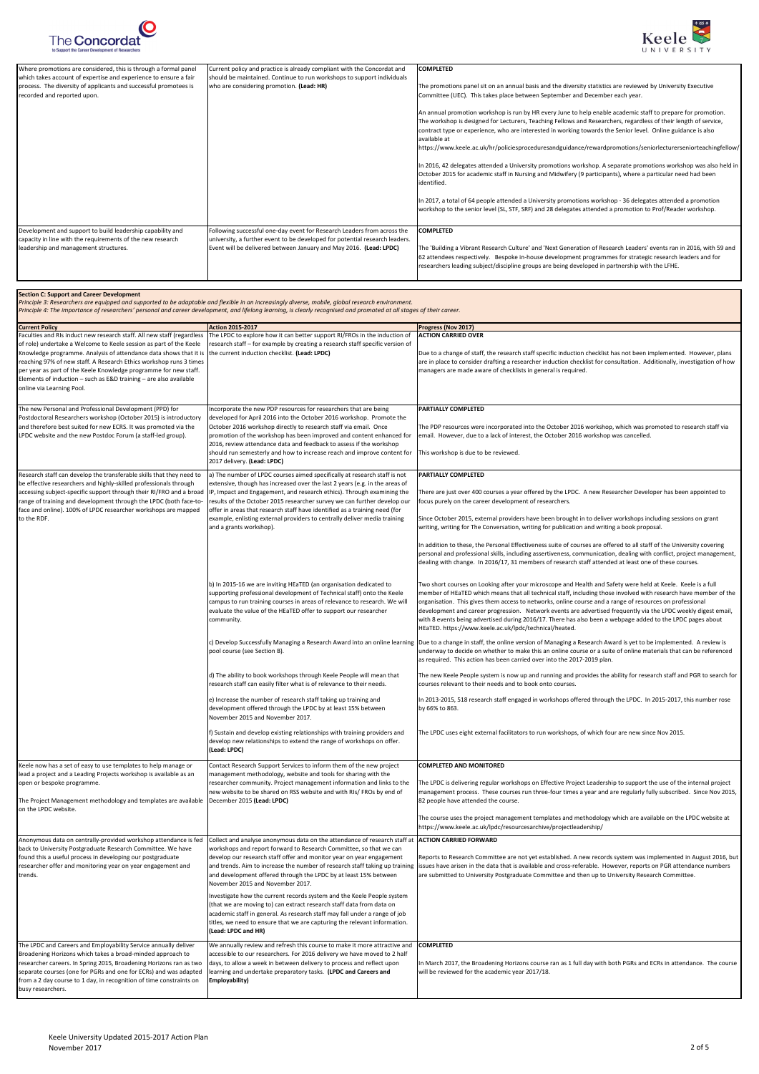The new Personal and Professional Development (PPD) for Postdoctoral Researchers workshop (October 2015) is introductory and therefore best suited for new ECRS. It was promoted via the LPDC website and the new Postdoc Forum (a staff-led group). developed for April 2016 into the October 2016 workshop. Promote the October 2016 workshop directly to research staff via email. Once promotion of the workshop has been improved and content enhanced for 2016, review attendance data and feedback to assess if the workshop

should run semesterly and how to increase reach and improve content for

The PDP resources were incorporated into the October 2016 workshop, which was promoted to research staff via

email. However, due to a lack of interest, the October 2016 workshop was cancelled.

This workshop is due to be reviewed.

In addition to these, the Personal Effectiveness suite of courses are offered to all staff of the University covering personal and professional skills, including assertiveness, communication, dealing with conflict, project management, dealing with change. In 2016/17, 31 members of research staff attended at least one of these courses. b) In 2015-16 we are inviting HEaTED (an organisation dedicated to supporting professional development of Technical staff) onto the Keele campus to run training courses in areas of relevance to research. We will evaluate the value of the HEaTED offer to support our researcher community. Two short courses on Looking after your microscope and Health and Safety were held at Keele. Keele is a full member of HEaTED which means that all technical staff, including those involved with research have member of the organisation. This gives them access to networks, online course and a range of resources on professional development and career progression. Network events are advertised frequently via the LPDC weekly digest email, with 8 events being advertised during 2016/17. There has also been a webpage added to the LPDC pages about HEaTED. https://www.keele.ac.uk/lpdc/technical/heated. c) Develop Successfully Managing a Research Award into an online learning |Due to a change in staff, the online version of Managing a Research Award is yet to be implemented. A review is pool course (see Section B). underway to decide on whether to make this an online course or a suite of online materials that can be referenced as required. This action has been carried over into the 2017-2019 plan. d) The ability to book workshops through Keele People will mean that research staff can easily filter what is of relevance to their needs. The new Keele People system is now up and running and provides the ability for research staff and PGR to search for courses relevant to their needs and to book onto courses. e) Increase the number of research staff taking up training and development offered through the LPDC by at least 15% between November 2015 and November 2017. In 2013-2015, 518 research staff engaged in workshops offered through the LPDC. In 2015-2017, this number rose by 66% to 863. f) Sustain and develop existing relationships with training providers and develop new relationships to extend the range of workshops on offer. **(Lead: LPDC)** The LPDC uses eight external facilitators to run workshops, of which four are new since Nov 2015. Keele now has a set of easy to use templates to help manage or lead a project and a Leading Projects workshop is available as an open or bespoke programme. Contact Research Support Services to inform them of the new project management methodology, website and tools for sharing with the researcher community. Project management information and links to the **COMPLETED AND MONITORED**

2017 delivery. **(Lead: LPDC)** Research staff can develop the transferable skills that they need to be effective researchers and highly-skilled professionals through accessing subject-specific support through their RI/FRO and a broad range of training and development through the LPDC (both face-toface and online). 100% of LPDC researcher workshops are mapped to the RDF. a) The number of LPDC courses aimed specifically at research staff is not extensive, though has increased over the last 2 years (e.g. in the areas of IP, Impact and Engagement, and research ethics). Through examining the results of the October 2015 researcher survey we can further develop our offer in areas that research staff have identified as a training need (for example, enlisting external providers to centrally deliver media training and a grants workshop). **PARTIALLY COMPLETED** There are just over 400 courses a year offered by the LPDC. A new Researcher Developer has been appointed to focus purely on the career development of researchers. Since October 2015, external providers have been brought in to deliver workshops including sessions on grant writing, writing for The Conversation, writing for publication and writing a book proposal.





| Where promotions are considered, this is through a formal panel                                                                              | Current policy and practice is already compliant with the Concordat and                                                                                               | <b>COMPLETED</b>                                                                                                                                                                         |
|----------------------------------------------------------------------------------------------------------------------------------------------|-----------------------------------------------------------------------------------------------------------------------------------------------------------------------|------------------------------------------------------------------------------------------------------------------------------------------------------------------------------------------|
| which takes account of expertise and experience to ensure a fair                                                                             | should be maintained. Continue to run workshops to support individuals                                                                                                |                                                                                                                                                                                          |
| process. The diversity of applicants and successful promotees is                                                                             | who are considering promotion. (Lead: HR)                                                                                                                             | The promotions panel sit on an annual basis and the diversity statistics are reviewed by University Executive                                                                            |
| recorded and reported upon.                                                                                                                  |                                                                                                                                                                       | Committee (UEC). This takes place between September and December each year.                                                                                                              |
|                                                                                                                                              |                                                                                                                                                                       |                                                                                                                                                                                          |
|                                                                                                                                              |                                                                                                                                                                       | An annual promotion workshop is run by HR every June to help enable academic staff to prepare for promotion.                                                                             |
|                                                                                                                                              |                                                                                                                                                                       | The workshop is designed for Lecturers, Teaching Fellows and Researchers, regardless of their length of service,                                                                         |
|                                                                                                                                              |                                                                                                                                                                       | contract type or experience, who are interested in working towards the Senior level. Online guidance is also                                                                             |
|                                                                                                                                              |                                                                                                                                                                       | available at                                                                                                                                                                             |
|                                                                                                                                              |                                                                                                                                                                       | https://www.keele.ac.uk/hr/policiesproceduresandguidance/rewardpromotions/seniorlecturerseniorteachingfellow/                                                                            |
|                                                                                                                                              |                                                                                                                                                                       |                                                                                                                                                                                          |
|                                                                                                                                              |                                                                                                                                                                       | In 2016, 42 delegates attended a University promotions workshop. A separate promotions workshop was also held in                                                                         |
|                                                                                                                                              |                                                                                                                                                                       | October 2015 for academic staff in Nursing and Midwifery (9 participants), where a particular need had been                                                                              |
|                                                                                                                                              |                                                                                                                                                                       | identified.                                                                                                                                                                              |
|                                                                                                                                              |                                                                                                                                                                       |                                                                                                                                                                                          |
|                                                                                                                                              |                                                                                                                                                                       | In 2017, a total of 64 people attended a University promotions workshop - 36 delegates attended a promotion                                                                              |
|                                                                                                                                              |                                                                                                                                                                       | workshop to the senior level (SL, STF, SRF) and 28 delegates attended a promotion to Prof/Reader workshop.                                                                               |
|                                                                                                                                              |                                                                                                                                                                       |                                                                                                                                                                                          |
| Development and support to build leadership capability and                                                                                   | Following successful one-day event for Research Leaders from across the                                                                                               | <b>COMPLETED</b>                                                                                                                                                                         |
| capacity in line with the requirements of the new research                                                                                   | university, a further event to be developed for potential research leaders.                                                                                           |                                                                                                                                                                                          |
| leadership and management structures.                                                                                                        | Event will be delivered between January and May 2016. (Lead: LPDC)                                                                                                    | The 'Building a Vibrant Research Culture' and 'Next Generation of Research Leaders' events ran in 2016, with 59 and                                                                      |
|                                                                                                                                              |                                                                                                                                                                       | 62 attendees respectively. Bespoke in-house development programmes for strategic research leaders and for                                                                                |
|                                                                                                                                              |                                                                                                                                                                       | researchers leading subject/discipline groups are being developed in partnership with the LFHE.                                                                                          |
|                                                                                                                                              |                                                                                                                                                                       |                                                                                                                                                                                          |
|                                                                                                                                              |                                                                                                                                                                       |                                                                                                                                                                                          |
| <b>Section C: Support and Career Development</b>                                                                                             |                                                                                                                                                                       |                                                                                                                                                                                          |
|                                                                                                                                              | Principle 3: Researchers are equipped and supported to be adaptable and flexible in an increasingly diverse, mobile, global research environment.                     |                                                                                                                                                                                          |
|                                                                                                                                              | Principle 4: The importance of researchers' personal and career development, and lifelong learning, is clearly recognised and promoted at all stages of their career. |                                                                                                                                                                                          |
|                                                                                                                                              |                                                                                                                                                                       |                                                                                                                                                                                          |
| <b>Current Policy</b>                                                                                                                        | <b>Action 2015-2017</b>                                                                                                                                               | Progress (Nov 2017)<br><b>ACTION CARRIED OVER</b>                                                                                                                                        |
| Faculties and RIs induct new research staff. All new staff (regardless<br>of role) undertake a Welcome to Keele session as part of the Keele | The LPDC to explore how it can better support RI/FROs in the induction of<br>research staff – for example by creating a research staff specific version of            |                                                                                                                                                                                          |
|                                                                                                                                              |                                                                                                                                                                       |                                                                                                                                                                                          |
| Knowledge programme. Analysis of attendance data shows that it is the current induction checklist. (Lead: LPDC)                              |                                                                                                                                                                       | Due to a change of staff, the research staff specific induction checklist has not been implemented. However, plans                                                                       |
| reaching 97% of new staff. A Research Ethics workshop runs 3 times<br>per year as part of the Keele Knowledge programme for new staff.       |                                                                                                                                                                       | are in place to consider drafting a researcher induction checklist for consultation. Additionally, investigation of how<br>managers are made aware of checklists in general is required. |
|                                                                                                                                              |                                                                                                                                                                       |                                                                                                                                                                                          |
| Elements of induction - such as E&D training - are also available                                                                            |                                                                                                                                                                       |                                                                                                                                                                                          |
| online via Learning Pool.                                                                                                                    |                                                                                                                                                                       |                                                                                                                                                                                          |
|                                                                                                                                              |                                                                                                                                                                       |                                                                                                                                                                                          |
| The new Personal and Professional Development (PPD) for                                                                                      | Incorporate the new PDP resources for researchers that are being                                                                                                      | <b>PARTIALLY COMPLETED</b>                                                                                                                                                               |

The Project Management methodology and templates are available on the LPDC website. new website to be shared on RSS website and with RIs/ FROs by end of December 2015 **(Lead: LPDC)**

The LPDC is delivering regular workshops on Effective Project Leadership to support the use of the internal project management process. These courses run three-four times a year and are regularly fully subscribed. Since Nov 2015, 82 people have attended the course.

| Anonymous data on centrally-provided workshop attendance is fed<br>back to University Postgraduate Research Committee. We have<br>found this a useful process in developing our postgraduate<br>researcher offer and monitoring year on year engagement and<br>trends.  | Collect and analyse anonymous data on the attendance of research staff at<br>workshops and report forward to Research Committee, so that we can<br>develop our research staff offer and monitor year on year engagement<br>and trends. Aim to increase the number of research staff taking up training<br>and development offered through the LPDC by at least 15% between<br>November 2015 and November 2017.<br>Investigate how the current records system and the Keele People system<br>(that we are moving to) can extract research staff data from data on<br>academic staff in general. As research staff may fall under a range of job<br>titles, we need to ensure that we are capturing the relevant information.<br>(Lead: LPDC and HR) | The course uses the project management templates and methodology which are available on the LPDC website at<br>https://www.keele.ac.uk/lpdc/resourcesarchive/projectleadership/<br><b>ACTION CARRIED FORWARD</b><br>Reports to Research Committee are not yet established. A new records system was implemented in August 2016, but<br>issues have arisen in the data that is available and cross-referable. However, reports on PGR attendance numbers<br>are submitted to University Postgraduate Committee and then up to University Research Committee. |
|-------------------------------------------------------------------------------------------------------------------------------------------------------------------------------------------------------------------------------------------------------------------------|----------------------------------------------------------------------------------------------------------------------------------------------------------------------------------------------------------------------------------------------------------------------------------------------------------------------------------------------------------------------------------------------------------------------------------------------------------------------------------------------------------------------------------------------------------------------------------------------------------------------------------------------------------------------------------------------------------------------------------------------------|-------------------------------------------------------------------------------------------------------------------------------------------------------------------------------------------------------------------------------------------------------------------------------------------------------------------------------------------------------------------------------------------------------------------------------------------------------------------------------------------------------------------------------------------------------------|
|                                                                                                                                                                                                                                                                         |                                                                                                                                                                                                                                                                                                                                                                                                                                                                                                                                                                                                                                                                                                                                                    |                                                                                                                                                                                                                                                                                                                                                                                                                                                                                                                                                             |
| The LPDC and Careers and Employability Service annually deliver<br>Broadening Horizons which takes a broad-minded approach to<br>researcher careers. In Spring 2015, Broadening Horizons ran as two<br>separate courses (one for PGRs and one for ECRs) and was adapted | We annually review and refresh this course to make it more attractive and<br>accessible to our researchers. For 2016 delivery we have moved to 2 half<br>days, to allow a week in between delivery to process and reflect upon<br>learning and undertake preparatory tasks. (LPDC and Careers and                                                                                                                                                                                                                                                                                                                                                                                                                                                  | <b>COMPLETED</b><br>In March 2017, the Broadening Horizons course ran as 1 full day with both PGRs and ECRs in attendance. The course<br>will be reviewed for the academic year 2017/18.                                                                                                                                                                                                                                                                                                                                                                    |
| from a 2 day course to 1 day, in recognition of time constraints on<br>busy researchers.                                                                                                                                                                                | Employability)                                                                                                                                                                                                                                                                                                                                                                                                                                                                                                                                                                                                                                                                                                                                     |                                                                                                                                                                                                                                                                                                                                                                                                                                                                                                                                                             |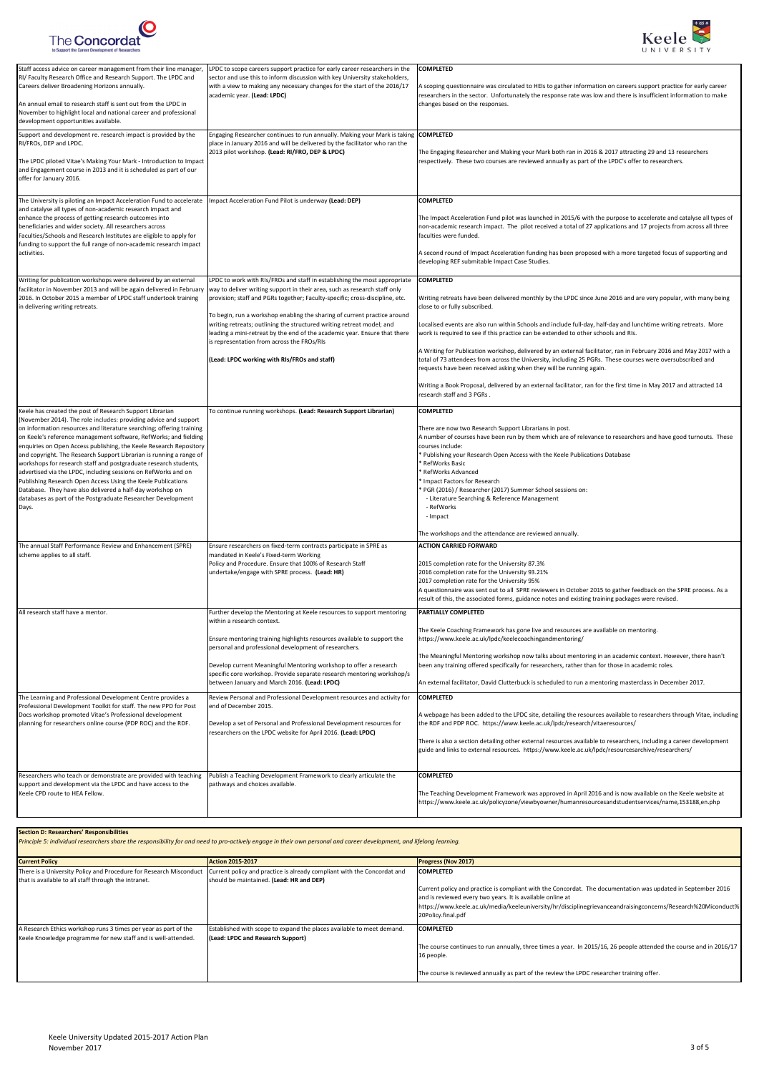



| Staff access advice on career management from their line manager<br>RI/ Faculty Research Office and Research Support. The LPDC and<br>Careers deliver Broadening Horizons annually.<br>An annual email to research staff is sent out from the LPDC in<br>November to highlight local and national career and professional<br>development opportunities available.                                                                                                                                                                                                                                                                                                                                                                                                 | LPDC to scope careers support practice for early career researchers in the<br>sector and use this to inform discussion with key University stakeholders,<br>with a view to making any necessary changes for the start of the 2016/17<br>academic year. (Lead: LPDC)                                                                                                                                                                                                                                                                                                    | <b>COMPLETED</b><br>A scoping questionnaire was circulated to HEIs to gather information on careers support practice for early career<br>researchers in the sector. Unfortunately the response rate was low and there is insufficient information to make<br>changes based on the responses.                                                                                                                                                                                                                                                                                                                                                                                                                                                                                                                                                 |
|-------------------------------------------------------------------------------------------------------------------------------------------------------------------------------------------------------------------------------------------------------------------------------------------------------------------------------------------------------------------------------------------------------------------------------------------------------------------------------------------------------------------------------------------------------------------------------------------------------------------------------------------------------------------------------------------------------------------------------------------------------------------|------------------------------------------------------------------------------------------------------------------------------------------------------------------------------------------------------------------------------------------------------------------------------------------------------------------------------------------------------------------------------------------------------------------------------------------------------------------------------------------------------------------------------------------------------------------------|----------------------------------------------------------------------------------------------------------------------------------------------------------------------------------------------------------------------------------------------------------------------------------------------------------------------------------------------------------------------------------------------------------------------------------------------------------------------------------------------------------------------------------------------------------------------------------------------------------------------------------------------------------------------------------------------------------------------------------------------------------------------------------------------------------------------------------------------|
| Support and development re. research impact is provided by the<br>RI/FROs, DEP and LPDC.<br>The LPDC piloted Vitae's Making Your Mark - Introduction to Impact<br>and Engagement course in 2013 and it is scheduled as part of our<br>offer for January 2016.                                                                                                                                                                                                                                                                                                                                                                                                                                                                                                     | Engaging Researcher continues to run annually. Making your Mark is taking COMPLETED<br>place in January 2016 and will be delivered by the facilitator who ran the<br>2013 pilot workshop. (Lead: RI/FRO, DEP & LPDC)                                                                                                                                                                                                                                                                                                                                                   | The Engaging Researcher and Making your Mark both ran in 2016 & 2017 attracting 29 and 13 researchers<br>respectively. These two courses are reviewed annually as part of the LPDC's offer to researchers.                                                                                                                                                                                                                                                                                                                                                                                                                                                                                                                                                                                                                                   |
| The University is piloting an Impact Acceleration Fund to accelerate<br>and catalyse all types of non-academic research impact and<br>enhance the process of getting research outcomes into<br>beneficiaries and wider society. All researchers across<br>Faculties/Schools and Research Institutes are eligible to apply for<br>funding to support the full range of non-academic research impact<br>activities.                                                                                                                                                                                                                                                                                                                                                 | mpact Acceleration Fund Pilot is underway (Lead: DEP)                                                                                                                                                                                                                                                                                                                                                                                                                                                                                                                  | <b>COMPLETED</b><br>The Impact Acceleration Fund pilot was launched in 2015/6 with the purpose to accelerate and catalyse all types of<br>non-academic research impact. The pilot received a total of 27 applications and 17 projects from across all three<br>faculties were funded.<br>A second round of Impact Acceleration funding has been proposed with a more targeted focus of supporting and<br>developing REF submitable Impact Case Studies.                                                                                                                                                                                                                                                                                                                                                                                      |
| Writing for publication workshops were delivered by an external<br>facilitator in November 2013 and will be again delivered in February<br>2016. In October 2015 a member of LPDC staff undertook training<br>in delivering writing retreats.                                                                                                                                                                                                                                                                                                                                                                                                                                                                                                                     | LPDC to work with RIs/FROs and staff in establishing the most appropriate<br>way to deliver writing support in their area, such as research staff only<br>provision; staff and PGRs together; Faculty-specific; cross-discipline, etc.<br>To begin, run a workshop enabling the sharing of current practice around<br>writing retreats; outlining the structured writing retreat model; and<br>leading a mini-retreat by the end of the academic year. Ensure that there<br>is representation from across the FROs/RIs<br>(Lead: LPDC working with RIs/FROs and staff) | <b>COMPLETED</b><br>Writing retreats have been delivered monthly by the LPDC since June 2016 and are very popular, with many being<br>close to or fully subscribed.<br>Localised events are also run within Schools and include full-day, half-day and lunchtime writing retreats. More<br>work is required to see if this practice can be extended to other schools and RIs.<br>A Writing for Publication workshop, delivered by an external facilitator, ran in February 2016 and May 2017 with a<br>total of 73 attendees from across the University, including 25 PGRs. These courses were oversubscribed and<br>requests have been received asking when they will be running again.<br>Writing a Book Proposal, delivered by an external facilitator, ran for the first time in May 2017 and attracted 14<br>research staff and 3 PGRs. |
| Keele has created the post of Research Support Librarian<br>(November 2014). The role includes: providing advice and support<br>on information resources and literature searching; offering training<br>on Keele's reference management software, RefWorks; and fielding<br>enquiries on Open Access publishing, the Keele Research Repository<br>and copyright. The Research Support Librarian is running a range of<br>workshops for research staff and postgraduate research students,<br>advertised via the LPDC, including sessions on RefWorks and on<br>Publishing Research Open Access Using the Keele Publications<br>Database. They have also delivered a half-day workshop on<br>databases as part of the Postgraduate Researcher Development<br>Days. | To continue running workshops. (Lead: Research Support Librarian)                                                                                                                                                                                                                                                                                                                                                                                                                                                                                                      | <b>COMPLETED</b><br>There are now two Research Support Librarians in post.<br>A number of courses have been run by them which are of relevance to researchers and have good turnouts. These<br>courses include:<br>Publishing your Research Open Access with the Keele Publications Database<br>* RefWorks Basic<br>RefWorks Advanced<br>Impact Factors for Research<br>PGR (2016) / Researcher (2017) Summer School sessions on:<br>- Literature Searching & Reference Management<br>- RefWorks<br>- Impact<br>The workshops and the attendance are reviewed annually.                                                                                                                                                                                                                                                                      |
| The annual Staff Performance Review and Enhancement (SPRE)<br>scheme applies to all staff.                                                                                                                                                                                                                                                                                                                                                                                                                                                                                                                                                                                                                                                                        | Ensure researchers on fixed-term contracts participate in SPRE as<br>mandated in Keele's Fixed-term Working<br>Policy and Procedure. Ensure that 100% of Research Staff<br>undertake/engage with SPRE process. (Lead: HR)                                                                                                                                                                                                                                                                                                                                              | <b>ACTION CARRIED FORWARD</b><br>2015 completion rate for the University 87.3%<br>2016 completion rate for the University 93.21%<br>2017 completion rate for the University 95%<br>A questionnaire was sent out to all SPRE reviewers in October 2015 to gather feedback on the SPRE process. As a<br>result of this, the associated forms, guidance notes and existing training packages were revised.                                                                                                                                                                                                                                                                                                                                                                                                                                      |
| All research staff have a mentor.                                                                                                                                                                                                                                                                                                                                                                                                                                                                                                                                                                                                                                                                                                                                 | Further develop the Mentoring at Keele resources to support mentoring<br>within a research context.<br>Ensure mentoring training highlights resources available to support the<br>personal and professional development of researchers.<br>Develop current Meaningful Mentoring workshop to offer a research<br>specific core workshop. Provide separate research mentoring workshop/s<br>between January and March 2016. (Lead: LPDC)                                                                                                                                 | PARTIALLY COMPLETED<br>The Keele Coaching Framework has gone live and resources are available on mentoring.<br>https://www.keele.ac.uk/lpdc/keelecoachingandmentoring/<br>The Meaningful Mentoring workshop now talks about mentoring in an academic context. However, there hasn't<br>been any training offered specifically for researchers, rather than for those in academic roles.<br>An external facilitator, David Clutterbuck is scheduled to run a mentoring masterclass in December 2017.                                                                                                                                                                                                                                                                                                                                          |
| The Learning and Professional Development Centre provides a<br>Professional Development Toolkit for staff. The new PPD for Post<br>Docs workshop promoted Vitae's Professional development<br>planning for researchers online course (PDP ROC) and the RDF.                                                                                                                                                                                                                                                                                                                                                                                                                                                                                                       | Review Personal and Professional Development resources and activity for<br>end of December 2015.<br>Develop a set of Personal and Professional Development resources for<br>researchers on the LPDC website for April 2016. (Lead: LPDC)                                                                                                                                                                                                                                                                                                                               | <b>COMPLETED</b><br>A webpage has been added to the LPDC site, detailing the resources available to researchers through Vitae, including<br>the RDF and PDP ROC. https://www.keele.ac.uk/lpdc/research/vitaeresources/<br>There is also a section detailing other external resources available to researchers, including a career development<br>guide and links to external resources. https://www.keele.ac.uk/lpdc/resourcesarchive/researchers/                                                                                                                                                                                                                                                                                                                                                                                           |
| Researchers who teach or demonstrate are provided with teaching<br>support and development via the LPDC and have access to the<br>Keele CPD route to HEA Fellow.                                                                                                                                                                                                                                                                                                                                                                                                                                                                                                                                                                                                  | Publish a Teaching Development Framework to clearly articulate the<br>pathways and choices available.                                                                                                                                                                                                                                                                                                                                                                                                                                                                  | <b>COMPLETED</b><br>The Teaching Development Framework was approved in April 2016 and is now available on the Keele website at<br>https://www.keele.ac.uk/policyzone/viewbyowner/humanresourcesandstudentservices/name,153188,en.php                                                                                                                                                                                                                                                                                                                                                                                                                                                                                                                                                                                                         |
| <b>Section D: Researchers' Responsibilities</b>                                                                                                                                                                                                                                                                                                                                                                                                                                                                                                                                                                                                                                                                                                                   | Principle 5: individual researchers share the responsibility for and need to pro-actively engage in their own personal and career development, and lifelong learning.                                                                                                                                                                                                                                                                                                                                                                                                  |                                                                                                                                                                                                                                                                                                                                                                                                                                                                                                                                                                                                                                                                                                                                                                                                                                              |
| <b>Current Policy</b><br>that is available to all staff through the intranet.                                                                                                                                                                                                                                                                                                                                                                                                                                                                                                                                                                                                                                                                                     | <b>Action 2015-2017</b><br>There is a University Policy and Procedure for Research Misconduct   Current policy and practice is already compliant with the Concordat and<br>should be maintained. (Lead: HR and DEP)                                                                                                                                                                                                                                                                                                                                                    | Progress (Nov 2017)<br><b>COMPLETED</b><br>Current policy and practice is compliant with the Concordat. The documentation was updated in September 2016<br>and is reviewed every two years. It is available online at<br>https://www.keele.ac.uk/media/keeleuniversity/hr/disciplinegrievanceandraisingconcerns/Research%20Miconduct%<br>20Policy.final.pdf                                                                                                                                                                                                                                                                                                                                                                                                                                                                                  |
| A Research Ethics workshop runs 3 times per year as part of the<br>Keele Knowledge programme for new staff and is well-attended.                                                                                                                                                                                                                                                                                                                                                                                                                                                                                                                                                                                                                                  | Established with scope to expand the places available to meet demand.<br>(Lead: LPDC and Research Support)                                                                                                                                                                                                                                                                                                                                                                                                                                                             | <b>COMPLETED</b><br>The course continues to run annually, three times a year. In 2015/16, 26 people attended the course and in 2016/17<br>16 people.<br>The course is reviewed annually as part of the review the LPDC researcher training offer.                                                                                                                                                                                                                                                                                                                                                                                                                                                                                                                                                                                            |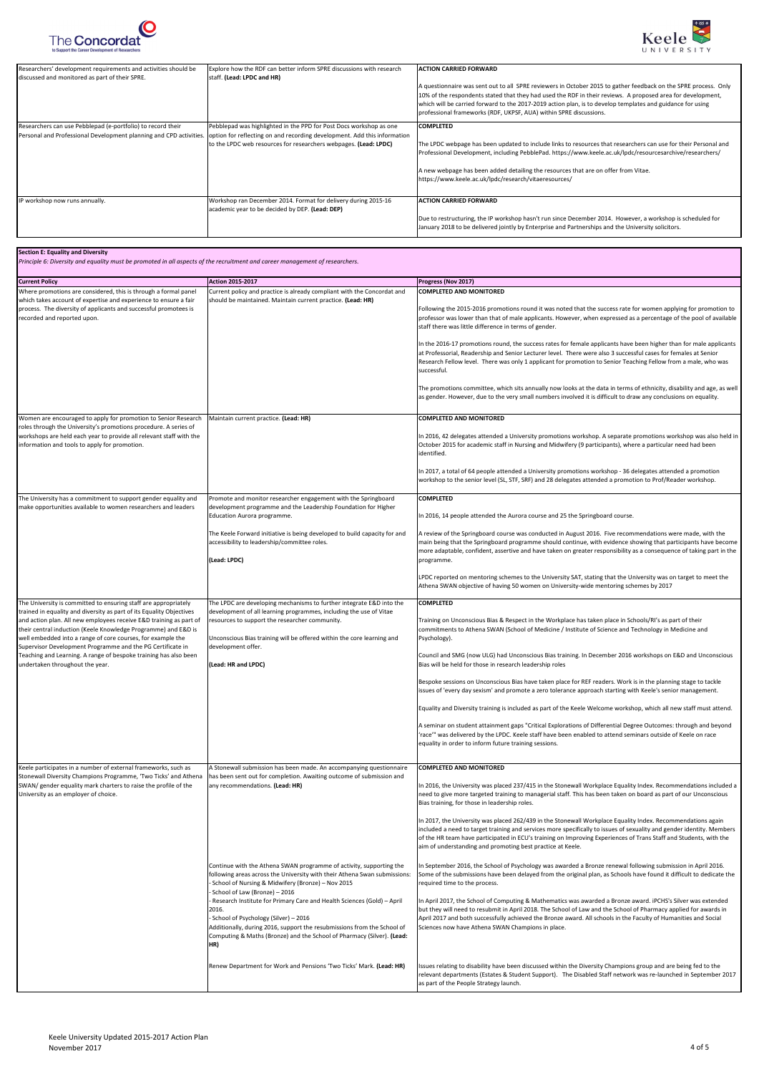



| Researchers' development requirements and activities should be<br>discussed and monitored as part of their SPRE. | Explore how the RDF can better inform SPRE discussions with research<br>staff. (Lead: LPDC and HR)                                                                                                                                                                                      | <b>ACTION CARRIED FORWARD</b><br>A questionnaire was sent out to all SPRE reviewers in October 2015 to gather feedback on the SPRE process. Only<br>10% of the respondents stated that they had used the RDF in their reviews. A proposed area for development,<br>which will be carried forward to the 2017-2019 action plan, is to develop templates and guidance for using<br>professional frameworks (RDF, UKPSF, AUA) within SPRE discussions. |
|------------------------------------------------------------------------------------------------------------------|-----------------------------------------------------------------------------------------------------------------------------------------------------------------------------------------------------------------------------------------------------------------------------------------|-----------------------------------------------------------------------------------------------------------------------------------------------------------------------------------------------------------------------------------------------------------------------------------------------------------------------------------------------------------------------------------------------------------------------------------------------------|
| Researchers can use Pebblepad (e-portfolio) to record their                                                      | Pebblepad was highlighted in the PPD for Post Docs workshop as one<br>Personal and Professional Development planning and CPD activities.   option for reflecting on and recording development. Add this information<br>to the LPDC web resources for researchers webpages. (Lead: LPDC) | <b>COMPLETED</b><br>The LPDC webpage has been updated to include links to resources that researchers can use for their Personal and<br>Professional Development, including PebblePad. https://www.keele.ac.uk/lpdc/resourcesarchive/researchers/<br>A new webpage has been added detailing the resources that are on offer from Vitae.<br>https://www.keele.ac.uk/lpdc/research/vitaeresources/                                                     |
| P workshop now runs annually.                                                                                    | Workshop ran December 2014. Format for delivery during 2015-16<br>academic year to be decided by DEP. (Lead: DEP)                                                                                                                                                                       | <b>IACTION CARRIED FORWARD</b><br>Due to restructuring, the IP workshop hasn't run since December 2014. However, a workshop is scheduled for<br>January 2018 to be delivered jointly by Enterprise and Partnerships and the University solicitors.                                                                                                                                                                                                  |

| <b>Current Policy</b>                                                                                                                                                                                        | <b>Action 2015-2017</b>                                                                                                                                                                                                                                                                                              | Progress (Nov 2017)                                                                                                                                                                                                                                                                                                                                                                                                     |
|--------------------------------------------------------------------------------------------------------------------------------------------------------------------------------------------------------------|----------------------------------------------------------------------------------------------------------------------------------------------------------------------------------------------------------------------------------------------------------------------------------------------------------------------|-------------------------------------------------------------------------------------------------------------------------------------------------------------------------------------------------------------------------------------------------------------------------------------------------------------------------------------------------------------------------------------------------------------------------|
| Where promotions are considered, this is through a formal panel                                                                                                                                              | Current policy and practice is already compliant with the Concordat and                                                                                                                                                                                                                                              | <b>COMPLETED AND MONITORED</b>                                                                                                                                                                                                                                                                                                                                                                                          |
| which takes account of expertise and experience to ensure a fair<br>process. The diversity of applicants and successful promotees is<br>recorded and reported upon.                                          | should be maintained. Maintain current practice. (Lead: HR)                                                                                                                                                                                                                                                          | Following the 2015-2016 promotions round it was noted that the success rate for women applying for promotion to<br>professor was lower than that of male applicants. However, when expressed as a percentage of the pool of available<br>staff there was little difference in terms of gender.                                                                                                                          |
|                                                                                                                                                                                                              |                                                                                                                                                                                                                                                                                                                      | In the 2016-17 promotions round, the success rates for female applicants have been higher than for male applicants<br>at Professorial, Readership and Senior Lecturer level. There were also 3 successful cases for females at Senior<br>Research Fellow level. There was only 1 applicant for promotion to Senior Teaching Fellow from a male, who was<br>successful.                                                  |
|                                                                                                                                                                                                              |                                                                                                                                                                                                                                                                                                                      | The promotions committee, which sits annually now looks at the data in terms of ethnicity, disability and age, as well<br>as gender. However, due to the very small numbers involved it is difficult to draw any conclusions on equality.                                                                                                                                                                               |
| Women are encouraged to apply for promotion to Senior Research                                                                                                                                               | Maintain current practice. (Lead: HR)                                                                                                                                                                                                                                                                                | <b>COMPLETED AND MONITORED</b>                                                                                                                                                                                                                                                                                                                                                                                          |
| roles through the University's promotions procedure. A series of<br>workshops are held each year to provide all relevant staff with the<br>information and tools to apply for promotion.                     |                                                                                                                                                                                                                                                                                                                      | In 2016, 42 delegates attended a University promotions workshop. A separate promotions workshop was also held in<br>October 2015 for academic staff in Nursing and Midwifery (9 participants), where a particular need had been<br>identified.                                                                                                                                                                          |
|                                                                                                                                                                                                              |                                                                                                                                                                                                                                                                                                                      | In 2017, a total of 64 people attended a University promotions workshop - 36 delegates attended a promotion<br>workshop to the senior level (SL, STF, SRF) and 28 delegates attended a promotion to Prof/Reader workshop.                                                                                                                                                                                               |
| The University has a commitment to support gender equality and                                                                                                                                               | Promote and monitor researcher engagement with the Springboard                                                                                                                                                                                                                                                       | <b>COMPLETED</b>                                                                                                                                                                                                                                                                                                                                                                                                        |
| make opportunities available to women researchers and leaders                                                                                                                                                | development programme and the Leadership Foundation for Higher<br>Education Aurora programme.                                                                                                                                                                                                                        | In 2016, 14 people attended the Aurora course and 25 the Springboard course.                                                                                                                                                                                                                                                                                                                                            |
|                                                                                                                                                                                                              | The Keele Forward initiative is being developed to build capacity for and<br>accessibility to leadership/committee roles.<br>(Lead: LPDC)                                                                                                                                                                            | A review of the Springboard course was conducted in August 2016. Five recommendations were made, with the<br>main being that the Springboard programme should continue, with evidence showing that participants have become<br>more adaptable, confident, assertive and have taken on greater responsibility as a consequence of taking part in the<br>programme.                                                       |
|                                                                                                                                                                                                              |                                                                                                                                                                                                                                                                                                                      | LPDC reported on mentoring schemes to the University SAT, stating that the University was on target to meet the<br>Athena SWAN objective of having 50 women on University-wide mentoring schemes by 2017                                                                                                                                                                                                                |
| The University is committed to ensuring staff are appropriately                                                                                                                                              | The LPDC are developing mechanisms to further integrate E&D into the                                                                                                                                                                                                                                                 | <b>COMPLETED</b>                                                                                                                                                                                                                                                                                                                                                                                                        |
| trained in equality and diversity as part of its Equality Objectives<br>and action plan. All new employees receive E&D training as part of<br>their central induction (Keele Knowledge Programme) and E&D is | development of all learning programmes, including the use of Vitae<br>resources to support the researcher community.                                                                                                                                                                                                 | Training on Unconscious Bias & Respect in the Workplace has taken place in Schools/RI's as part of their<br>commitments to Athena SWAN (School of Medicine / Institute of Science and Technology in Medicine and                                                                                                                                                                                                        |
| well embedded into a range of core courses, for example the                                                                                                                                                  | Unconscious Bias training will be offered within the core learning and                                                                                                                                                                                                                                               | Psychology).                                                                                                                                                                                                                                                                                                                                                                                                            |
| Supervisor Development Programme and the PG Certificate in<br>Teaching and Learning. A range of bespoke training has also been<br>undertaken throughout the year.                                            | development offer.<br>(Lead: HR and LPDC)                                                                                                                                                                                                                                                                            | Council and SMG (now ULG) had Unconscious Bias training. In December 2016 workshops on E&D and Unconscious<br>Bias will be held for those in research leadership roles                                                                                                                                                                                                                                                  |
|                                                                                                                                                                                                              |                                                                                                                                                                                                                                                                                                                      | Bespoke sessions on Unconscious Bias have taken place for REF readers. Work is in the planning stage to tackle<br>issues of 'every day sexism' and promote a zero tolerance approach starting with Keele's senior management.                                                                                                                                                                                           |
|                                                                                                                                                                                                              |                                                                                                                                                                                                                                                                                                                      | Equality and Diversity training is included as part of the Keele Welcome workshop, which all new staff must attend.                                                                                                                                                                                                                                                                                                     |
|                                                                                                                                                                                                              |                                                                                                                                                                                                                                                                                                                      | A seminar on student attainment gaps "Critical Explorations of Differential Degree Outcomes: through and beyond<br>'race'" was delivered by the LPDC. Keele staff have been enabled to attend seminars outside of Keele on race<br>equality in order to inform future training sessions.                                                                                                                                |
| Keele participates in a number of external frameworks, such as                                                                                                                                               | A Stonewall submission has been made. An accompanying questionnaire                                                                                                                                                                                                                                                  | <b>COMPLETED AND MONITORED</b>                                                                                                                                                                                                                                                                                                                                                                                          |
| Stonewall Diversity Champions Programme, 'Two Ticks' and Athena<br>SWAN/ gender equality mark charters to raise the profile of the<br>University as an employer of choice.                                   | has been sent out for completion. Awaiting outcome of submission and<br>any recommendations. (Lead: HR)                                                                                                                                                                                                              | In 2016, the University was placed 237/415 in the Stonewall Workplace Equality Index. Recommendations included a<br>need to give more targeted training to managerial staff. This has been taken on board as part of our Unconscious<br>Bias training, for those in leadership roles.                                                                                                                                   |
|                                                                                                                                                                                                              |                                                                                                                                                                                                                                                                                                                      | In 2017, the University was placed 262/439 in the Stonewall Workplace Equality Index. Recommendations again<br>included a need to target training and services more specifically to issues of sexuality and gender identity. Members<br>of the HR team have participated in ECU's training on Improving Experiences of Trans Staff and Students, with the<br>aim of understanding and promoting best practice at Keele. |
|                                                                                                                                                                                                              | Continue with the Athena SWAN programme of activity, supporting the<br>following areas across the University with their Athena Swan submissions:<br>School of Nursing & Midwifery (Bronze) - Nov 2015                                                                                                                | In September 2016, the School of Psychology was awarded a Bronze renewal following submission in April 2016.<br>Some of the submissions have been delayed from the original plan, as Schools have found it difficult to dedicate the<br>required time to the process.                                                                                                                                                   |
|                                                                                                                                                                                                              | School of Law (Bronze) - 2016<br>Research Institute for Primary Care and Health Sciences (Gold) - April<br>2016.<br>School of Psychology (Silver) - 2016<br>Additionally, during 2016, support the resubmissions from the School of<br>Computing & Maths (Bronze) and the School of Pharmacy (Silver). (Lead:<br>HR) | In April 2017, the School of Computing & Mathematics was awarded a Bronze award. iPCHS's Silver was extended<br>but they will need to resubmit in April 2018. The School of Law and the School of Pharmacy applied for awards in<br>April 2017 and both successfully achieved the Bronze award. All schools in the Faculty of Humanities and Social<br>Sciences now have Athena SWAN Champions in place.                |
|                                                                                                                                                                                                              | Renew Department for Work and Pensions 'Two Ticks' Mark. (Lead: HR)                                                                                                                                                                                                                                                  | Issues relating to disability have been discussed within the Diversity Champions group and are being fed to the<br>relevant departments (Estates & Student Support). The Disabled Staff network was re-launched in September 2017<br>as part of the People Strategy launch.                                                                                                                                             |

*Principle 6: Diversity and equality must be promoted in all aspects of the recruitment and career management of researchers.*

## **Section E: Equality and Diversity**